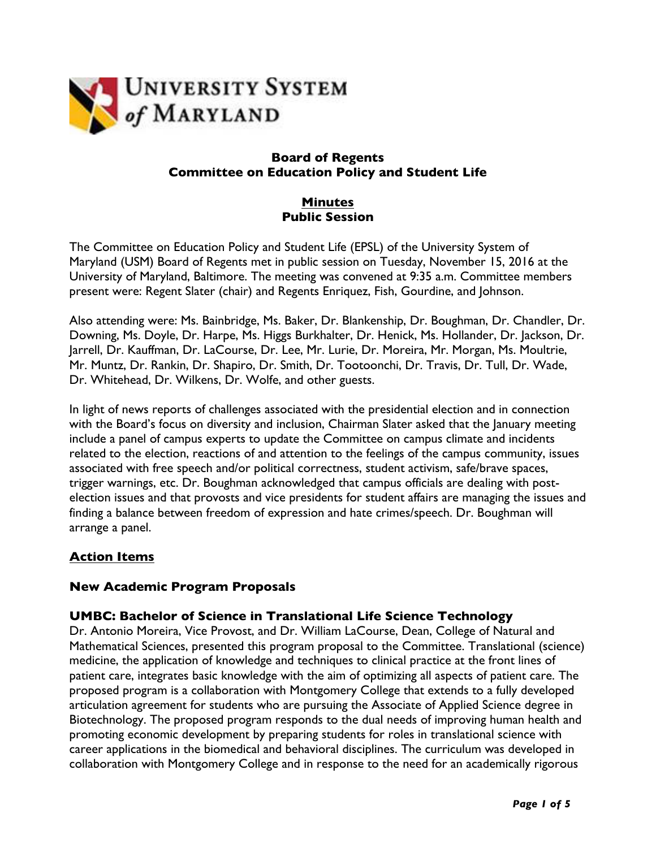

#### **Board of Regents Committee on Education Policy and Student Life**

# **Minutes Public Session**

The Committee on Education Policy and Student Life (EPSL) of the University System of Maryland (USM) Board of Regents met in public session on Tuesday, November 15, 2016 at the University of Maryland, Baltimore. The meeting was convened at 9:35 a.m. Committee members present were: Regent Slater (chair) and Regents Enriquez, Fish, Gourdine, and Johnson.

Also attending were: Ms. Bainbridge, Ms. Baker, Dr. Blankenship, Dr. Boughman, Dr. Chandler, Dr. Downing, Ms. Doyle, Dr. Harpe, Ms. Higgs Burkhalter, Dr. Henick, Ms. Hollander, Dr. Jackson, Dr. Jarrell, Dr. Kauffman, Dr. LaCourse, Dr. Lee, Mr. Lurie, Dr. Moreira, Mr. Morgan, Ms. Moultrie, Mr. Muntz, Dr. Rankin, Dr. Shapiro, Dr. Smith, Dr. Tootoonchi, Dr. Travis, Dr. Tull, Dr. Wade, Dr. Whitehead, Dr. Wilkens, Dr. Wolfe, and other guests.

In light of news reports of challenges associated with the presidential election and in connection with the Board's focus on diversity and inclusion, Chairman Slater asked that the January meeting include a panel of campus experts to update the Committee on campus climate and incidents related to the election, reactions of and attention to the feelings of the campus community, issues associated with free speech and/or political correctness, student activism, safe/brave spaces, trigger warnings, etc. Dr. Boughman acknowledged that campus officials are dealing with postelection issues and that provosts and vice presidents for student affairs are managing the issues and finding a balance between freedom of expression and hate crimes/speech. Dr. Boughman will arrange a panel.

# **Action Items**

# **New Academic Program Proposals**

# **UMBC: Bachelor of Science in Translational Life Science Technology**

Dr. Antonio Moreira, Vice Provost, and Dr. William LaCourse, Dean, College of Natural and Mathematical Sciences, presented this program proposal to the Committee. Translational (science) medicine, the application of knowledge and techniques to clinical practice at the front lines of patient care, integrates basic knowledge with the aim of optimizing all aspects of patient care. The proposed program is a collaboration with Montgomery College that extends to a fully developed articulation agreement for students who are pursuing the Associate of Applied Science degree in Biotechnology. The proposed program responds to the dual needs of improving human health and promoting economic development by preparing students for roles in translational science with career applications in the biomedical and behavioral disciplines. The curriculum was developed in collaboration with Montgomery College and in response to the need for an academically rigorous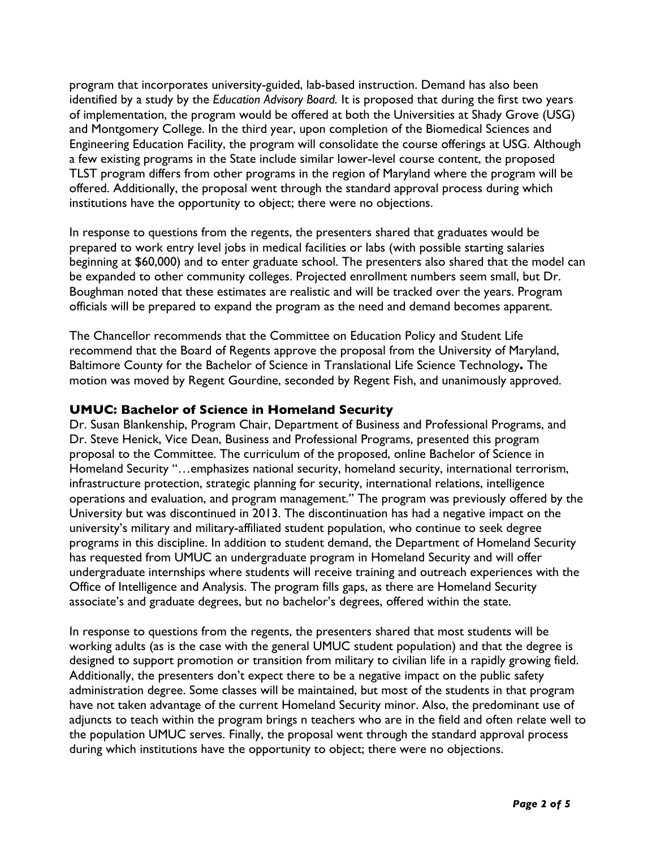program that incorporates university-guided, lab-based instruction. Demand has also been identified by a study by the *Education Advisory Board.* It is proposed that during the first two years of implementation, the program would be offered at both the Universities at Shady Grove (USG) and Montgomery College. In the third year, upon completion of the Biomedical Sciences and Engineering Education Facility, the program will consolidate the course offerings at USG. Although a few existing programs in the State include similar lower-level course content, the proposed TLST program differs from other programs in the region of Maryland where the program will be offered. Additionally, the proposal went through the standard approval process during which institutions have the opportunity to object; there were no objections.

In response to questions from the regents, the presenters shared that graduates would be prepared to work entry level jobs in medical facilities or labs (with possible starting salaries beginning at \$60,000) and to enter graduate school. The presenters also shared that the model can be expanded to other community colleges. Projected enrollment numbers seem small, but Dr. Boughman noted that these estimates are realistic and will be tracked over the years. Program officials will be prepared to expand the program as the need and demand becomes apparent.

The Chancellor recommends that the Committee on Education Policy and Student Life recommend that the Board of Regents approve the proposal from the University of Maryland, Baltimore County for the Bachelor of Science in Translational Life Science Technology**.** The motion was moved by Regent Gourdine, seconded by Regent Fish, and unanimously approved.

#### **UMUC: Bachelor of Science in Homeland Security**

Dr. Susan Blankenship, Program Chair, Department of Business and Professional Programs, and Dr. Steve Henick, Vice Dean, Business and Professional Programs, presented this program proposal to the Committee. The curriculum of the proposed, online Bachelor of Science in Homeland Security "…emphasizes national security, homeland security, international terrorism, infrastructure protection, strategic planning for security, international relations, intelligence operations and evaluation, and program management." The program was previously offered by the University but was discontinued in 2013. The discontinuation has had a negative impact on the university's military and military-affiliated student population, who continue to seek degree programs in this discipline. In addition to student demand, the Department of Homeland Security has requested from UMUC an undergraduate program in Homeland Security and will offer undergraduate internships where students will receive training and outreach experiences with the Office of Intelligence and Analysis. The program fills gaps, as there are Homeland Security associate's and graduate degrees, but no bachelor's degrees, offered within the state.

In response to questions from the regents, the presenters shared that most students will be working adults (as is the case with the general UMUC student population) and that the degree is designed to support promotion or transition from military to civilian life in a rapidly growing field. Additionally, the presenters don't expect there to be a negative impact on the public safety administration degree. Some classes will be maintained, but most of the students in that program have not taken advantage of the current Homeland Security minor. Also, the predominant use of adjuncts to teach within the program brings n teachers who are in the field and often relate well to the population UMUC serves. Finally, the proposal went through the standard approval process during which institutions have the opportunity to object; there were no objections.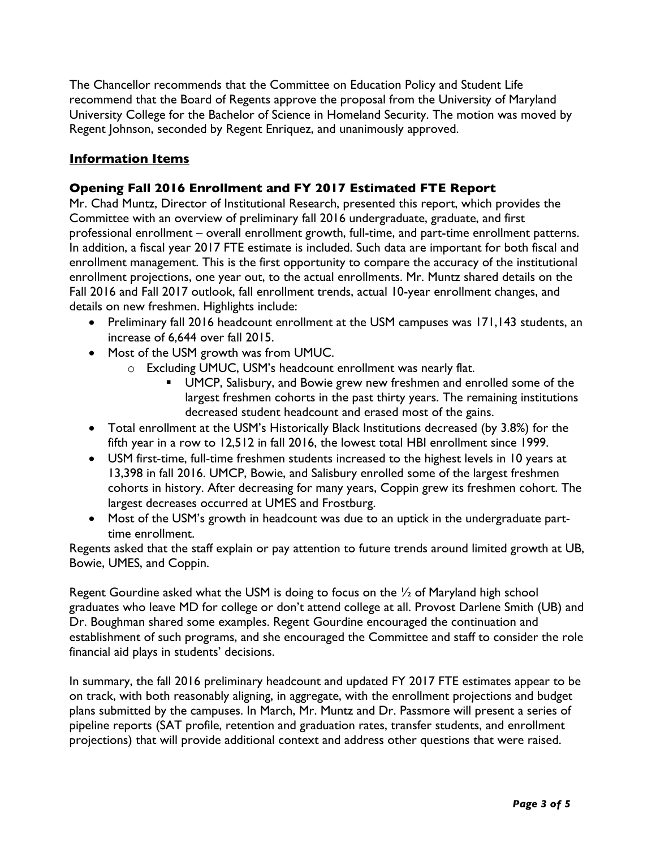The Chancellor recommends that the Committee on Education Policy and Student Life recommend that the Board of Regents approve the proposal from the University of Maryland University College for the Bachelor of Science in Homeland Security. The motion was moved by Regent Johnson, seconded by Regent Enriquez, and unanimously approved.

# **Information Items**

# **Opening Fall 2016 Enrollment and FY 2017 Estimated FTE Report**

Mr. Chad Muntz, Director of Institutional Research, presented this report, which provides the Committee with an overview of preliminary fall 2016 undergraduate, graduate, and first professional enrollment – overall enrollment growth, full-time, and part-time enrollment patterns. In addition, a fiscal year 2017 FTE estimate is included. Such data are important for both fiscal and enrollment management. This is the first opportunity to compare the accuracy of the institutional enrollment projections, one year out, to the actual enrollments. Mr. Muntz shared details on the Fall 2016 and Fall 2017 outlook, fall enrollment trends, actual 10-year enrollment changes, and details on new freshmen. Highlights include:

- Preliminary fall 2016 headcount enrollment at the USM campuses was 171,143 students, an increase of 6,644 over fall 2015.
- Most of the USM growth was from UMUC.
	- o Excluding UMUC, USM's headcount enrollment was nearly flat.
		- UMCP, Salisbury, and Bowie grew new freshmen and enrolled some of the largest freshmen cohorts in the past thirty years. The remaining institutions decreased student headcount and erased most of the gains.
- Total enrollment at the USM's Historically Black Institutions decreased (by 3.8%) for the fifth year in a row to 12,512 in fall 2016, the lowest total HBI enrollment since 1999.
- USM first-time, full-time freshmen students increased to the highest levels in 10 years at 13,398 in fall 2016. UMCP, Bowie, and Salisbury enrolled some of the largest freshmen cohorts in history. After decreasing for many years, Coppin grew its freshmen cohort. The largest decreases occurred at UMES and Frostburg.
- Most of the USM's growth in headcount was due to an uptick in the undergraduate parttime enrollment.

Regents asked that the staff explain or pay attention to future trends around limited growth at UB, Bowie, UMES, and Coppin.

Regent Gourdine asked what the USM is doing to focus on the ½ of Maryland high school graduates who leave MD for college or don't attend college at all. Provost Darlene Smith (UB) and Dr. Boughman shared some examples. Regent Gourdine encouraged the continuation and establishment of such programs, and she encouraged the Committee and staff to consider the role financial aid plays in students' decisions.

In summary, the fall 2016 preliminary headcount and updated FY 2017 FTE estimates appear to be on track, with both reasonably aligning, in aggregate, with the enrollment projections and budget plans submitted by the campuses. In March, Mr. Muntz and Dr. Passmore will present a series of pipeline reports (SAT profile, retention and graduation rates, transfer students, and enrollment projections) that will provide additional context and address other questions that were raised.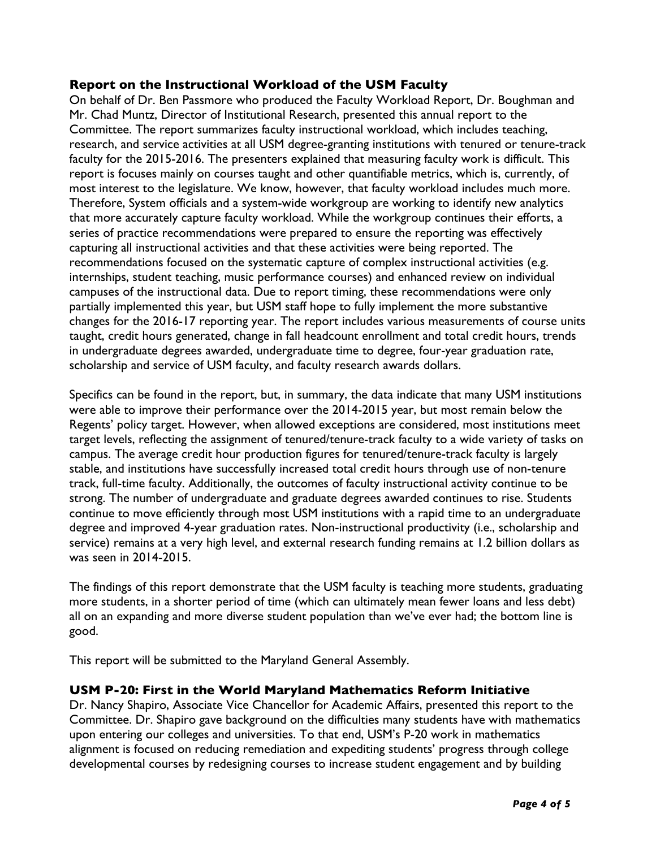#### **Report on the Instructional Workload of the USM Faculty**

On behalf of Dr. Ben Passmore who produced the Faculty Workload Report, Dr. Boughman and Mr. Chad Muntz, Director of Institutional Research, presented this annual report to the Committee. The report summarizes faculty instructional workload, which includes teaching, research, and service activities at all USM degree-granting institutions with tenured or tenure-track faculty for the 2015-2016. The presenters explained that measuring faculty work is difficult. This report is focuses mainly on courses taught and other quantifiable metrics, which is, currently, of most interest to the legislature. We know, however, that faculty workload includes much more. Therefore, System officials and a system-wide workgroup are working to identify new analytics that more accurately capture faculty workload. While the workgroup continues their efforts, a series of practice recommendations were prepared to ensure the reporting was effectively capturing all instructional activities and that these activities were being reported. The recommendations focused on the systematic capture of complex instructional activities (e.g. internships, student teaching, music performance courses) and enhanced review on individual campuses of the instructional data. Due to report timing, these recommendations were only partially implemented this year, but USM staff hope to fully implement the more substantive changes for the 2016-17 reporting year. The report includes various measurements of course units taught, credit hours generated, change in fall headcount enrollment and total credit hours, trends in undergraduate degrees awarded, undergraduate time to degree, four-year graduation rate, scholarship and service of USM faculty, and faculty research awards dollars.

Specifics can be found in the report, but, in summary, the data indicate that many USM institutions were able to improve their performance over the 2014-2015 year, but most remain below the Regents' policy target. However, when allowed exceptions are considered, most institutions meet target levels, reflecting the assignment of tenured/tenure-track faculty to a wide variety of tasks on campus. The average credit hour production figures for tenured/tenure-track faculty is largely stable, and institutions have successfully increased total credit hours through use of non-tenure track, full-time faculty. Additionally, the outcomes of faculty instructional activity continue to be strong. The number of undergraduate and graduate degrees awarded continues to rise. Students continue to move efficiently through most USM institutions with a rapid time to an undergraduate degree and improved 4-year graduation rates. Non-instructional productivity (i.e., scholarship and service) remains at a very high level, and external research funding remains at 1.2 billion dollars as was seen in 2014-2015.

The findings of this report demonstrate that the USM faculty is teaching more students, graduating more students, in a shorter period of time (which can ultimately mean fewer loans and less debt) all on an expanding and more diverse student population than we've ever had; the bottom line is good.

This report will be submitted to the Maryland General Assembly.

# **USM P-20: First in the World Maryland Mathematics Reform Initiative**

Dr. Nancy Shapiro, Associate Vice Chancellor for Academic Affairs, presented this report to the Committee. Dr. Shapiro gave background on the difficulties many students have with mathematics upon entering our colleges and universities. To that end, USM's P-20 work in mathematics alignment is focused on reducing remediation and expediting students' progress through college developmental courses by redesigning courses to increase student engagement and by building